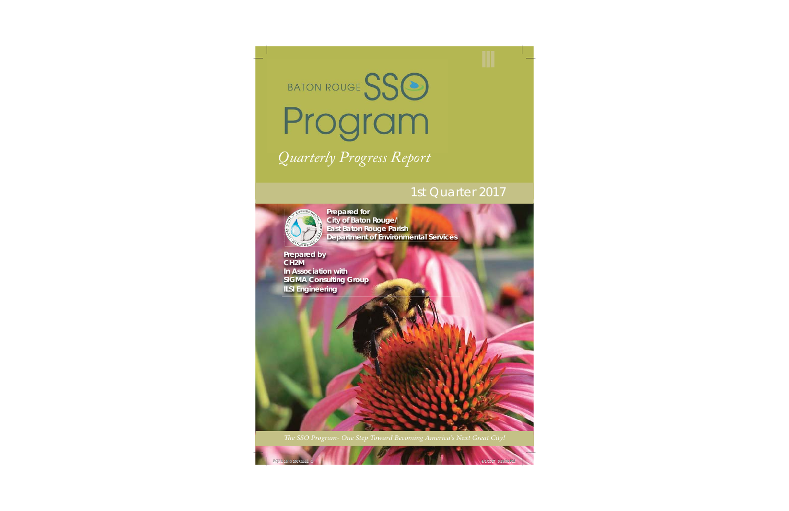BATON ROUGE SSO Program *Quarterly Progress Report Q l P R*

# 1st Quarter 2017



 **Prepared for City of Baton Rouge/ East Baton Rouge Parish Department of Environmental Services**

**Prepared by CH2M In Association with SIGMA Consulting Group ILSI Engineering**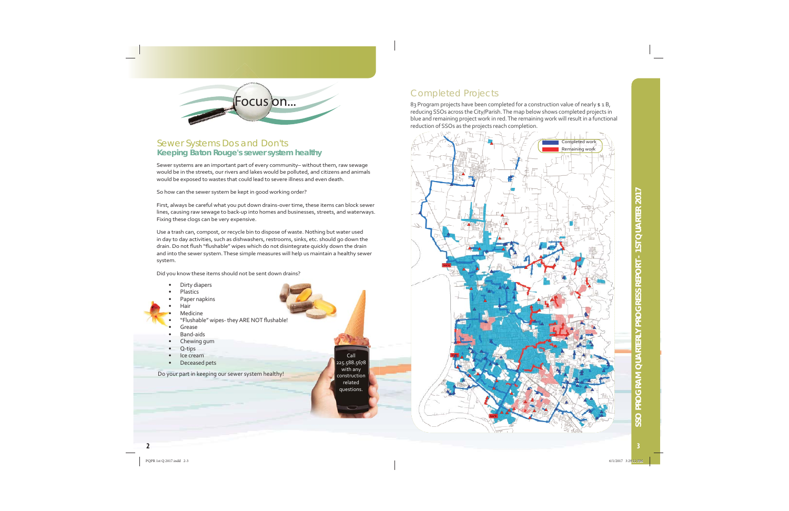

#### Sewer Systems Dos and Don'ts **Keeping Baton Rouge's sewer system healthy**

Sewer systems are an important part of every community-without them, raw sewage would be in the streets, our rivers and lakes would be polluted, and citizens and animals would be exposed to wastes that could lead to severe illness and even death.

So how can the sewer system be kept in good working order?

First, always be careful what you put down drains-over time, these items can block sewer lines, causing raw sewage to back-up into homes and businesses, streets, and waterways. Fixing these clogs can be very expensive.

Use a trash can, compost, or recycle bin to dispose of waste. Nothing but water used in day to day activities, such as dishwashers, restrooms, sinks, etc. should go down the drain. Do not flush "flushable" wipes which do not disintegrate quickly down the drain and into the sewer system. These simple measures will help us maintain a healthy sewer system.

Did you know these items should not be sent down drains?

- Dirty diapers
- Plastics
- Paper napkins
- Hair
- Medicine
- "Flushable" wipes- they ARE NOT flushable!
- Grease
- Band-aids
- Chewing gum
- Q-tips
- Ice cream
- Deceased pets

Do your part in keeping our sewer system healthy!

Call 225.588.5678 with any construction related questions.

#### **Completed Projects**

83 Program projects have been completed for a construction value of nearly \$1B, reducing SSOs across the City/Parish. The map below shows completed projects in blue and remaining project work in red. The remaining work will result in a functional reduction of SSOs as the projects reach completion.

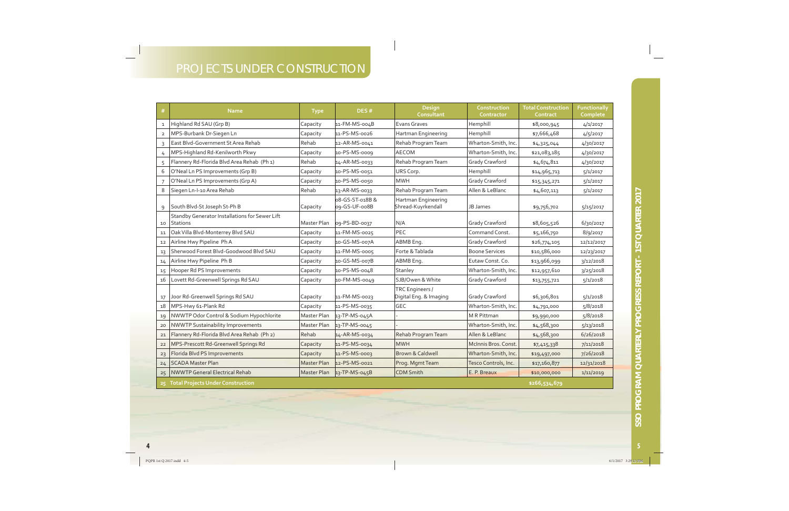## PROJECTS UNDER CONSTRUCTION

| #              | <b>Name</b>                                                       | <b>Type</b>        | DES#                             | Design<br>Consultant                      | Construction<br>Contractor | <b>Total Construction</b><br>Contract | <b>Functionally</b><br>Complete |
|----------------|-------------------------------------------------------------------|--------------------|----------------------------------|-------------------------------------------|----------------------------|---------------------------------------|---------------------------------|
| $\mathbf{1}$   | Highland Rd SAU (Grp B)                                           | Capacity           | 11-FM-MS-004B                    | Evans Graves                              | Hemphill                   | \$8,000,945                           | 4/1/2017                        |
| $\overline{2}$ | MPS-Burbank Dr-Siegen Ln                                          | Capacity           | 11-PS-MS-0026                    | Hartman Engineering                       | Hemphill                   | \$7,666,468                           | 4/5/2017                        |
| 3              | East Blvd-Government St Area Rehab                                | Rehab              | 12-AR-MS-0041                    | Rehab Program Team                        | Wharton-Smith, Inc.        | \$4,325,044                           | 4/30/2017                       |
| $\overline{4}$ | MPS-Highland Rd-Kenilworth Pkwy                                   | Capacity           | 10-PS-MS-0009                    | <b>AECOM</b>                              | Wharton-Smith, Inc.        | \$21,083,185                          | 4/30/2017                       |
| 5              | Flannery Rd-Florida Blvd Area Rehab (Ph 1)                        | Rehab              | 14-AR-MS-0033                    | Rehab Program Team                        | Grady Crawford             | \$4,674,811                           | 4/30/2017                       |
| 6              | O'Neal Ln PS Improvements (Grp B)                                 | Capacity           | 10-PS-MS-0051                    | URS Corp.                                 | Hemphill                   | \$14,965,713                          | 5/1/2017                        |
|                | O'Neal Ln PS Improvements (Grp A)                                 | Capacity           | 10-PS-MS-0050                    | <b>MWH</b>                                | Grady Crawford             | \$15,345,271                          | 5/1/2017                        |
| 8              | Siegen Ln-I-10 Area Rehab                                         | Rehab              | 13-AR-MS-0033                    | Rehab Program Team                        | Allen & LeBlanc            | \$4,607,113                           | 5/1/2017                        |
| 9              | South Blvd-St Joseph St-Ph B                                      | Capacity           | 08-GS-ST-018B &<br>09-GS-UF-008B | Hartman Engineering<br>Shread-Kuyrkendall | JB James                   | \$9,756,702                           | 5/15/2017                       |
| 10             | Standby Generator Installations for Sewer Lift<br><b>Stations</b> | Master Plan        | 09-PS-BD-0037                    | N/A                                       | Grady Crawford             | \$8,605,526                           | 6/30/2017                       |
| 11             | Oak Villa Blvd-Monterrey Blvd SAU                                 | Capacity           | 11-FM-MS-0025                    | PEC                                       | Command Const.             | \$5,166,750                           | 8/9/2017                        |
| 12             | Airline Hwy Pipeline Ph A                                         | Capacity           | 10-GS-MS-007A                    | ABMB Eng.                                 | Grady Crawford             | \$26,774,105                          | 12/12/2017                      |
| 13             | Sherwood Forest Blvd-Goodwood Blvd SAU                            | Capacity           | 11-FM-MS-0005                    | Forte & Tablada                           | <b>Boone Services</b>      | \$10,586,000                          | 12/23/2017                      |
| 14             | Airline Hwy Pipeline Ph B                                         | Capacity           | 10-GS-MS-007B                    | ABMB Eng.                                 | Eutaw Const. Co.           | \$13,966,099                          | 3/12/2018                       |
| 15             | Hooper Rd PS Improvements                                         | Capacity           | 10-PS-MS-0048                    | Stanley                                   | Wharton-Smith, Inc.        | \$12,957,610                          | 3/25/2018                       |
| 16             | Lovett Rd-Greenwell Springs Rd SAU                                | Capacity           | 10-FM-MS-0049                    | SJB/Owen & White                          | Grady Crawford             | \$13,755,721                          | 5/1/2018                        |
| 17             | Joor Rd-Greenwell Springs Rd SAU                                  | Capacity           | 11-FM-MS-0023                    | TRC Engineers /<br>Digital Eng. & Imaging | Grady Crawford             | \$6,306,801                           | 5/1/2018                        |
| 18             | MPS-Hwy 61-Plank Rd                                               | Capacity           | 11-PS-MS-0035                    | <b>GEC</b>                                | Wharton-Smith, Inc.        | \$4,791,000                           | 5/8/2018                        |
| 19             | NWWTP Odor Control & Sodium Hypochlorite                          | Master Plan        | 13-TP-MS-045A                    |                                           | M R Pittman                | \$9,990,000                           | 5/8/2018                        |
| 20             | <b>NWWTP Sustainability Improvements</b>                          | Master Plan        | 13-TP-MS-0045                    |                                           | Wharton-Smith, Inc.        | \$4,568,300                           | 5/13/2018                       |
| 21             | Flannery Rd-Florida Blvd Area Rehab (Ph 2)                        | Rehab              | 14-AR-MS-0034                    | Rehab Program Team                        | Allen & LeBlanc            | \$4,568,300                           | 6/26/2018                       |
| 22             | MPS-Prescott Rd-Greenwell Springs Rd                              | Capacity           | 11-PS-MS-0034                    | <b>MWH</b>                                | McInnis Bros. Const.       | \$7,415,338                           | 7/11/2018                       |
| 23             | Florida Blvd PS Improvements                                      | Capacity           | 11-PS-MS-0003                    | Brown & Caldwell                          | Wharton-Smith, Inc.        | \$19,497,000                          | 7/26/2018                       |
| 24             | <b>SCADA Master Plan</b>                                          | <b>Master Plan</b> | 12-PS-MS-0021                    | Prog. Mgmt Team                           | Tesco Controls, Inc.       | \$17,160,877                          | 12/31/2018                      |
| 25             | <b>INWWTP General Electrical Rehab</b>                            | <b>Master Plan</b> | 13-TP-MS-045B                    | <b>CDM Smith</b>                          | E. P. Breaux               | \$10,000,000                          | 1/11/2019                       |
|                | 25 Total Projects Under Construction                              |                    |                                  |                                           |                            | \$266,534,679                         |                                 |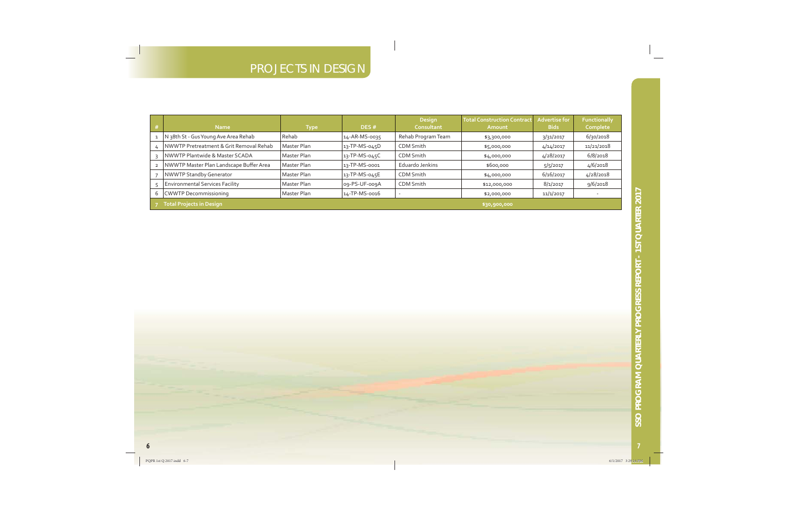## PROJECTS IN DESIGN

| <b>Name</b>                                 | Type        | DES#          | <b>Design</b><br>Consultant | <b>Total Construction Contract</b><br>Amount | <b>Advertise for</b><br><b>Bids</b> | <b>Functionally</b><br>Complete |
|---------------------------------------------|-------------|---------------|-----------------------------|----------------------------------------------|-------------------------------------|---------------------------------|
| 1   N 38th St - Gus Young Ave Area Rehab    | Rehab       | 14-AR-MS-0035 | Rehab Program Team          | \$3,300,000                                  | 3/31/2017                           | 6/30/2018                       |
| 4   NWWTP Pretreatment & Grit Removal Rehab | Master Plan | 13-TP-MS-045D | CDM Smith                   | \$5,000,000                                  | 4/14/2017                           | 11/21/2018                      |
| NWWTP Plantwide & Master SCADA              | Master Plan | 13-TP-MS-045C | CDM Smith                   | \$4,000,000                                  | 4/28/2017                           | 6/8/2018                        |
| 2 NWWTP Master Plan Landscape Buffer Area   | Master Plan | 13-TP-MS-0001 | Eduardo Jenkins             | \$600,000                                    | 5/5/2017                            | 4/6/2018                        |
| NWWTP Standby Generator                     | Master Plan | 13-TP-MS-045E | CDM Smith                   | \$4,000,000                                  | 6/16/2017                           | 4/28/2018                       |
| <b>Environmental Services Facility</b>      | Master Plan | og-PS-UF-oogA | CDM Smith                   | \$12,000,000                                 | 8/1/2017                            | 9/6/2018                        |
| 6   CWWTP Decommissioning                   | Master Plan | 14-TP-MS-0016 |                             | \$2,000,000                                  | 11/1/2017                           |                                 |
| Total Projects in Design                    |             |               |                             | \$30,900,000                                 |                                     |                                 |